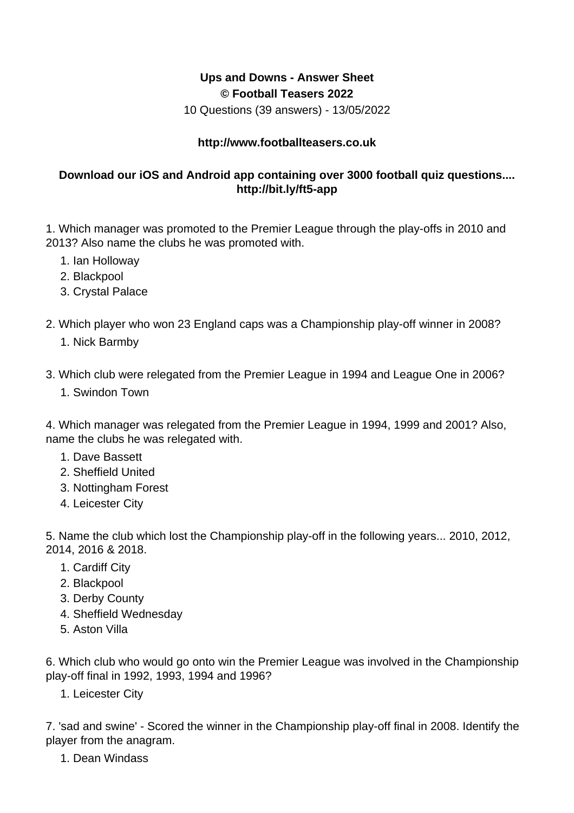## **Ups and Downs - Answer Sheet © Football Teasers 2022**

10 Questions (39 answers) - 13/05/2022

## **http://www.footballteasers.co.uk**

## **Download our iOS and Android app containing over 3000 football quiz questions.... http://bit.ly/ft5-app**

1. Which manager was promoted to the Premier League through the play-offs in 2010 and 2013? Also name the clubs he was promoted with.

- 1. Ian Holloway
- 2. Blackpool
- 3. Crystal Palace
- 2. Which player who won 23 England caps was a Championship play-off winner in 2008?
	- 1. Nick Barmby

3. Which club were relegated from the Premier League in 1994 and League One in 2006?

1. Swindon Town

4. Which manager was relegated from the Premier League in 1994, 1999 and 2001? Also, name the clubs he was relegated with.

- 1. Dave Bassett
- 2. Sheffield United
- 3. Nottingham Forest
- 4. Leicester City

5. Name the club which lost the Championship play-off in the following years... 2010, 2012, 2014, 2016 & 2018.

- 1. Cardiff City
- 2. Blackpool
- 3. Derby County
- 4. Sheffield Wednesday
- 5. Aston Villa

6. Which club who would go onto win the Premier League was involved in the Championship play-off final in 1992, 1993, 1994 and 1996?

1. Leicester City

7. 'sad and swine' - Scored the winner in the Championship play-off final in 2008. Identify the player from the anagram.

1. Dean Windass